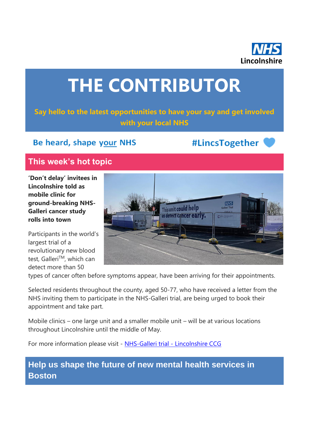

# **THE CONTRIBUTOR**

**Say hello to the latest opportunities to have your say and get involved with your local NHS**

## Be heard, shape your NHS

#LincsTogether

## **This week's hot topic**

**'Don't delay' invitees in Lincolnshire told as mobile clinic for ground-breaking NHS-Galleri cancer study rolls into town**

Participants in the world's largest trial of a revolutionary new blood test, Galleri™, which can detect more than 50



types of cancer often before symptoms appear, have been arriving for their appointments.

Selected residents throughout the county, aged 50-77, who have received a letter from the NHS inviting them to participate in the NHS-Galleri trial, are being urged to book their appointment and take part.

Mobile clinics – one large unit and a smaller mobile unit – will be at various locations throughout Lincolnshire until the middle of May.

For more information please visit - [NHS-Galleri trial -](https://lincolnshireccg.nhs.uk/nhs-galleri-trial/) Lincolnshire CCG

**Help us shape the future of new mental health services in Boston**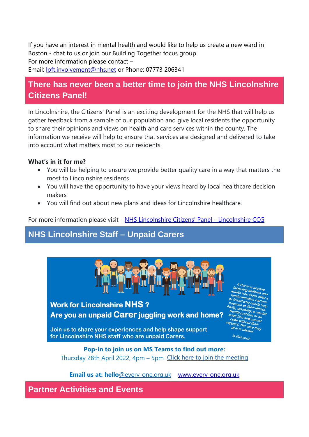If you have an interest in mental health and would like to help us create a new ward in Boston - chat to us or join our Building Together focus group. For more information please contact –

Email: **Ipft.involvement@nhs.net** or Phone: 07773 206341

# **There has never been a better time to join the NHS Lincolnshire Citizens Panel!**

In Lincolnshire, the Citizens' Panel is an exciting development for the NHS that will help us gather feedback from a sample of our population and give local residents the opportunity to share their opinions and views on health and care services within the county. The information we receive will help to ensure that services are designed and delivered to take into account what matters most to our residents.

#### **What's in it for me?**

- You will be helping to ensure we provide better quality care in a way that matters the most to Lincolnshire residents
- You will have the opportunity to have your views heard by local healthcare decision makers
- You will find out about new plans and ideas for Lincolnshire healthcare.

For more information please visit - [NHS Lincolnshire Citizens' Panel -](https://lincolnshireccg.nhs.uk/citizenpanel/) Lincolnshire CCG

## **NHS Lincolnshire Staff – Unpaid Carers**



**Email us at: hello**[@every-one.org.uk](mailto:working.together@every-one.org.uk) [www.every-one.org.uk](http://www.every-one.org.uk/)

**Partner Activities and Events**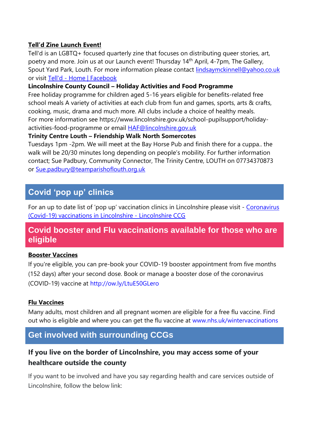#### **Tell'd Zine Launch Event!**

Tell'd is an LGBTQ+ focused quarterly zine that focuses on distributing queer stories, art, poetry and more. Join us at our Launch event! Thursday 14th April, 4-7pm, The Gallery, Spout Yard Park, Louth. For more information please contact [lindsaymckinnell@yahoo.co.uk](mailto:lindsaymckinnell@yahoo.co.uk) or visit Tell'd - [Home | Facebook](https://www.facebook.com/TelldZine/)

#### **Lincolnshire County Council – Holiday Activities and Food Programme**

Free holiday programme for children aged 5-16 years eligible for benefits-related free school meals A variety of activities at each club from fun and games, sports, arts & crafts, cooking, music, drama and much more. All clubs include a choice of healthy meals. For more information see https://www.lincolnshire.gov.uk/school-pupilsupport/holidayactivities-food-programme or email [HAF@lincolnshire.gov.uk](mailto:HAF@lincolnshire.gov.uk)

#### **Trinity Centre Louth – Friendship Walk North Somercotes**

Tuesdays 1pm -2pm. We will meet at the Bay Horse Pub and finish there for a cuppa.. the walk will be 20/30 minutes long depending on people's mobility. For further information contact; Sue Padbury, Community Connector, The Trinity Centre, LOUTH on 07734370873 or [Sue.padbury@teamparishoflouth.org.uk](mailto:Sue.padbury@teamparishoflouth.org.uk)

## **Covid 'pop up' clinics**

For an up to date list of 'pop up' vaccination clinics in Lincolnshire please visit - [Coronavirus](https://lincolnshireccg.nhs.uk/grab-a-jab/)  [\(Covid-19\) vaccinations in Lincolnshire -](https://lincolnshireccg.nhs.uk/grab-a-jab/) Lincolnshire CCG

#### **Covid booster and Flu vaccinations available for those who are eligible**

#### **Booster Vaccines**

If you're eligible, you can pre-book your COVID-19 booster appointment from five months (152 days) after your second dose. Book or manage a booster dose of the coronavirus (COVID-19) vaccine at [http://ow.ly/LtuE50GLero](http://ow.ly/LtuE50GLero?fbclid=IwAR3XJEWleqYaBsRKKEZvzOQTPhh6xJMHMX7CjAbY_UUfz6ZWyBf0D1-L7zQ)

#### **Flu Vaccines**

Many adults, most children and all pregnant women are eligible for a free flu vaccine. Find out who is eligible and where you can get the flu vaccine at [www.nhs.uk/wintervaccinations](http://www.nhs.uk/wintervaccinations?fbclid=IwAR1SzErYHhJMDfl_VlN1aZcnq-67N6npy7XQ2Y4ZA4Yp1fEVZXhfvNfkDrs)

## **Get involved with surrounding CCGs**

## **If you live on the border of Lincolnshire, you may access some of your healthcare outside the county**

If you want to be involved and have you say regarding health and care services outside of Lincolnshire, follow the below link: